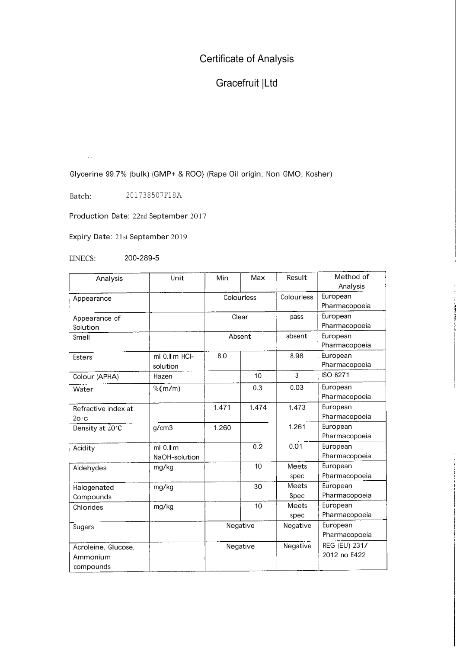## Certificate of Analysis

## Gracefruit |Ltd

Glycerine 99.7% (bulk) (GMP+ & ROO} (Rape Oil origin, Non GMO, Kosher)

Batch: 201738507F18A

Production Date: 22nd September <sup>2017</sup>

Expiry Date: 21st September 2019

EINECS: 200-289-5

| Analysis                | Unit          | Min        | Max   | Result       | Method of     |
|-------------------------|---------------|------------|-------|--------------|---------------|
|                         |               |            |       |              | Analysis      |
| Appearance              |               | Colourless |       | Colourless   | European      |
|                         |               |            |       |              | Pharmacopoeia |
| Appearance of           |               | Clear      |       | pass         | European      |
| Solution                |               |            |       |              | Pharmacopoeia |
| Smell                   |               | Absent     |       | absent       | European      |
|                         |               |            |       |              | Pharmacopoeia |
| <b>Esters</b>           | ml 0. Im HCI- | 8.0        |       | 8.98         | European      |
|                         | solution      |            |       |              | Pharmacopoeia |
| Colour (APHA)           | Hazen         |            | 10    | 3            | ISO 6271      |
| Water                   | % $(m/m)$     |            | 0.3   | 0.03         | European      |
|                         |               |            |       |              | Pharmacopoeia |
| Refractive index at     |               | 1.471      | 1.474 | 1.473        | European      |
| $2o \cdot c$            |               |            |       |              | Pharmacopoeia |
| Density at $20^\circ$ C | g/cm3         | 1.260      |       | 1.261        | European      |
|                         |               |            |       |              | Pharmacopoeia |
| Acidity                 | $ml$ 0. $lm$  |            | 0.2   | 0.01         | European      |
|                         | NaOH-solution |            |       |              | Pharmacopoeia |
| Aldehydes               | mg/kg         |            | 10    | Meets        | European      |
|                         |               |            |       | spec         | Pharmacopoeia |
| Halogenated             | mg/kg         |            | 30    | <b>Meets</b> | European      |
| Compounds               |               |            |       | Spec         | Pharmacopoeia |
| Chlorides               | mg/kg         |            | 10    | Meets        | European      |
|                         |               |            |       | spec         | Pharmacopoeia |
| Sugars                  |               | Negative   |       | Negative     | European      |
|                         |               |            |       |              | Pharmacopoeia |
| Acroleine, Glucose,     |               | Negative   |       | Negative     | REG (EU) 231/ |
| Ammonium                |               |            |       |              | 2012 no E422  |
| compounds               |               |            |       |              |               |